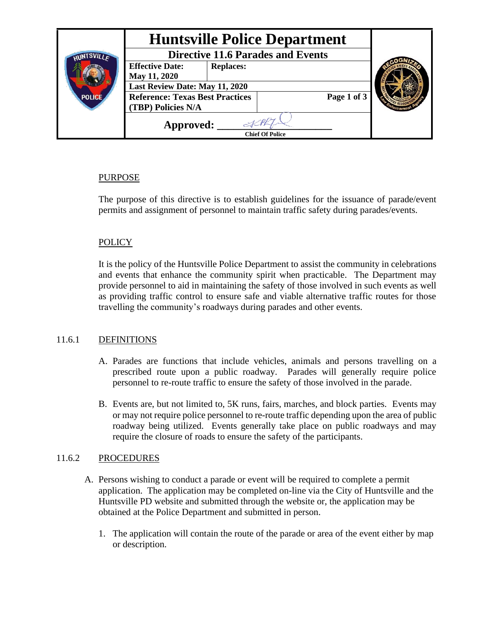| <b>Huntsville Police Department</b>        |              |                        |
|--------------------------------------------|--------------|------------------------|
| <b>Directive 11.6 Parades and Events</b>   |              |                        |
| <b>Effective Date:</b><br><b>Replaces:</b> |              |                        |
|                                            |              |                        |
| Last Review Date: May 11, 2020             |              |                        |
| <b>Reference: Texas Best Practices</b>     | Page 1 of 3  |                        |
| (TBP) Policies N/A                         |              |                        |
| Approved:                                  |              |                        |
|                                            | May 11, 2020 | <b>Chief Of Police</b> |

### PURPOSE

The purpose of this directive is to establish guidelines for the issuance of parade/event permits and assignment of personnel to maintain traffic safety during parades/events.

# **POLICY**

It is the policy of the Huntsville Police Department to assist the community in celebrations and events that enhance the community spirit when practicable. The Department may provide personnel to aid in maintaining the safety of those involved in such events as well as providing traffic control to ensure safe and viable alternative traffic routes for those travelling the community's roadways during parades and other events.

# 11.6.1 DEFINITIONS

- A. Parades are functions that include vehicles, animals and persons travelling on a prescribed route upon a public roadway. Parades will generally require police personnel to re-route traffic to ensure the safety of those involved in the parade.
- B. Events are, but not limited to, 5K runs, fairs, marches, and block parties. Events may or may not require police personnel to re-route traffic depending upon the area of public roadway being utilized. Events generally take place on public roadways and may require the closure of roads to ensure the safety of the participants.

### 11.6.2 PROCEDURES

- A. Persons wishing to conduct a parade or event will be required to complete a permit application. The application may be completed on-line via the City of Huntsville and the Huntsville PD website and submitted through the website or, the application may be obtained at the Police Department and submitted in person.
	- 1. The application will contain the route of the parade or area of the event either by map or description.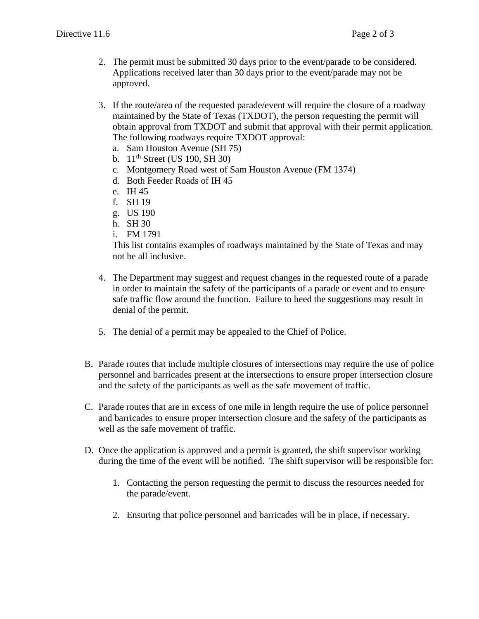- 2. The permit must be submitted 30 days prior to the event/parade to be considered. Applications received later than 30 days prior to the event/parade may not be approved.
- 3. If the route/area of the requested parade/event will require the closure of a roadway maintained by the State of Texas (TXDOT), the person requesting the permit will obtain approval from TXDOT and submit that approval with their permit application. The following roadways require TXDOT approval:
	- a. Sam Houston Avenue (SH 75)
	- b.  $11^{th}$  Street (US 190, SH 30)
	- c. Montgomery Road west of Sam Houston Avenue (FM 1374)
	- d. Both Feeder Roads of IH 45
	- e. IH 45
	- f. SH 19
	- g. US 190
	- h. SH 30
	- i. FM 1791

This list contains examples of roadways maintained by the State of Texas and may not be all inclusive.

- 4. The Department may suggest and request changes in the requested route of a parade in order to maintain the safety of the participants of a parade or event and to ensure safe traffic flow around the function. Failure to heed the suggestions may result in denial of the permit.
- 5. The denial of a permit may be appealed to the Chief of Police.
- B. Parade routes that include multiple closures of intersections may require the use of police personnel and barricades present at the intersections to ensure proper intersection closure and the safety of the participants as well as the safe movement of traffic.
- C. Parade routes that are in excess of one mile in length require the use of police personnel and barricades to ensure proper intersection closure and the safety of the participants as well as the safe movement of traffic.
- D. Once the application is approved and a permit is granted, the shift supervisor working during the time of the event will be notified. The shift supervisor will be responsible for:
	- 1. Contacting the person requesting the permit to discuss the resources needed for the parade/event.
	- 2. Ensuring that police personnel and barricades will be in place, if necessary.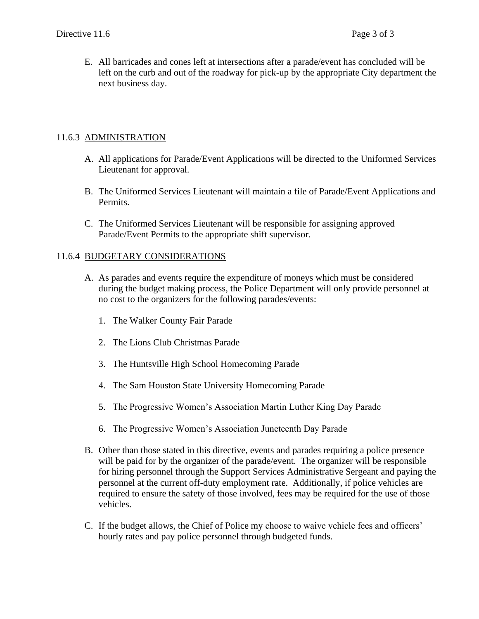E. All barricades and cones left at intersections after a parade/event has concluded will be left on the curb and out of the roadway for pick-up by the appropriate City department the next business day.

#### 11.6.3 ADMINISTRATION

- A. All applications for Parade/Event Applications will be directed to the Uniformed Services Lieutenant for approval.
- B. The Uniformed Services Lieutenant will maintain a file of Parade/Event Applications and Permits.
- C. The Uniformed Services Lieutenant will be responsible for assigning approved Parade/Event Permits to the appropriate shift supervisor.

#### 11.6.4 BUDGETARY CONSIDERATIONS

- A. As parades and events require the expenditure of moneys which must be considered during the budget making process, the Police Department will only provide personnel at no cost to the organizers for the following parades/events:
	- 1. The Walker County Fair Parade
	- 2. The Lions Club Christmas Parade
	- 3. The Huntsville High School Homecoming Parade
	- 4. The Sam Houston State University Homecoming Parade
	- 5. The Progressive Women's Association Martin Luther King Day Parade
	- 6. The Progressive Women's Association Juneteenth Day Parade
- B. Other than those stated in this directive, events and parades requiring a police presence will be paid for by the organizer of the parade/event. The organizer will be responsible for hiring personnel through the Support Services Administrative Sergeant and paying the personnel at the current off-duty employment rate. Additionally, if police vehicles are required to ensure the safety of those involved, fees may be required for the use of those vehicles.
- C. If the budget allows, the Chief of Police my choose to waive vehicle fees and officers' hourly rates and pay police personnel through budgeted funds.